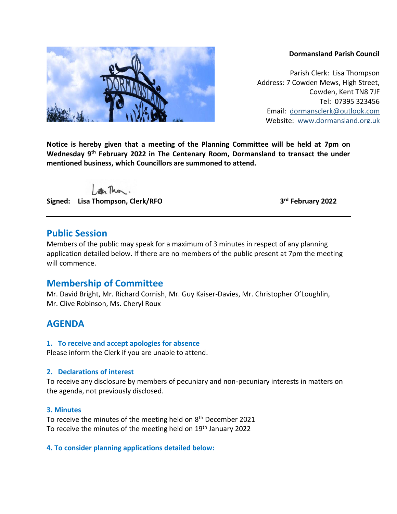### **Dormansland Parish Council**

Parish Clerk: Lisa Thompson Address: 7 Cowden Mews, High Street, Cowden, Kent TN8 7JF Tel: 07395 323456 Email: [dormansclerk@outlook.com](mailto:dormansclerk@outlook.com) Website: [www.dormansland.org.uk](http://www.dormansland.org.uk/)

**Notice is hereby given that a meeting of the Planning Committee will be held at 7pm on Wednesday 9 th February 2022 in The Centenary Room, Dormansland to transact the under mentioned business, which Councillors are summoned to attend.**

ster This.

**Signed: Lisa Thompson, Clerk/RFO 3**

**rd February 2022**

## **Public Session**

Members of the public may speak for a maximum of 3 minutes in respect of any planning application detailed below. If there are no members of the public present at 7pm the meeting will commence.

# **Membership of Committee**

Mr. David Bright, Mr. Richard Cornish, Mr. Guy Kaiser-Davies, Mr. Christopher O'Loughlin, Mr. Clive Robinson, Ms. Cheryl Roux

# **AGENDA**

## **1. To receive and accept apologies for absence**

Please inform the Clerk if you are unable to attend.

## **2. Declarations of interest**

To receive any disclosure by members of pecuniary and non-pecuniary interests in matters on the agenda, not previously disclosed.

#### **3. Minutes**

To receive the minutes of the meeting held on 8<sup>th</sup> December 2021 To receive the minutes of the meeting held on 19<sup>th</sup> January 2022

## **4. To consider planning applications detailed below:**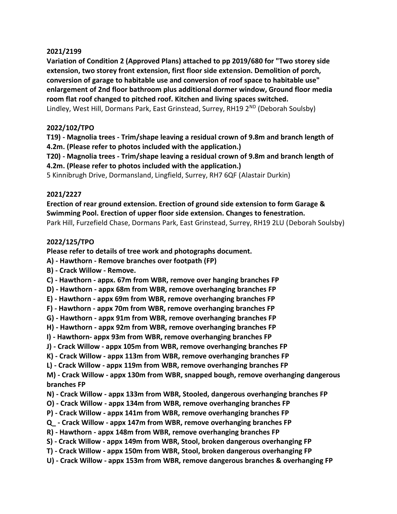### **2021/2199**

**Variation of Condition 2 (Approved Plans) attached to pp 2019/680 for "Two storey side extension, two storey front extension, first floor side extension. Demolition of porch, conversion of garage to habitable use and conversion of roof space to habitable use" enlargement of 2nd floor bathroom plus additional dormer window, Ground floor media room flat roof changed to pitched roof. Kitchen and living spaces switched.** Lindley, West Hill, Dormans Park, East Grinstead, Surrey, RH19 2<sup>ND</sup> (Deborah Soulsby)

## **2022/102/TPO**

**T19) - Magnolia trees - Trim/shape leaving a residual crown of 9.8m and branch length of 4.2m. (Please refer to photos included with the application.)** 

**T20) - Magnolia trees - Trim/shape leaving a residual crown of 9.8m and branch length of 4.2m. (Please refer to photos included with the application.)**

5 Kinnibrugh Drive, Dormansland, Lingfield, Surrey, RH7 6QF (Alastair Durkin)

## **2021/2227**

**Erection of rear ground extension. Erection of ground side extension to form Garage & Swimming Pool. Erection of upper floor side extension. Changes to fenestration.** Park Hill, Furzefield Chase, Dormans Park, East Grinstead, Surrey, RH19 2LU (Deborah Soulsby)

## **2022/125/TPO**

**Please refer to details of tree work and photographs document.** 

- **A) - Hawthorn - Remove branches over footpath (FP)**
- **B) - Crack Willow - Remove.**
- **C) - Hawthorn - appx. 67m from WBR, remove over hanging branches FP**
- **D) - Hawthorn - appx 68m from WBR, remove overhanging branches FP**
- **E) - Hawthorn - appx 69m from WBR, remove overhanging branches FP**
- **F) - Hawthorn - appx 70m from WBR, remove overhanging branches FP**
- **G) - Hawthorn - appx 91m from WBR, remove overhanging branches FP**
- **H) - Hawthorn - appx 92m from WBR, remove overhanging branches FP**
- **I) - Hawthorn- appx 93m from WBR, remove overhanging branches FP**
- **J) - Crack Willow - appx 105m from WBR, remove overhanging branches FP**
- **K) - Crack Willow - appx 113m from WBR, remove overhanging branches FP**
- **L) - Crack Willow - appx 119m from WBR, remove overhanging branches FP**

**M) - Crack Willow - appx 130m from WBR, snapped bough, remove overhanging dangerous branches FP** 

- **N) - Crack Willow - appx 133m from WBR, Stooled, dangerous overhanging branches FP**
- **O) - Crack Willow - appx 134m from WBR, remove overhanging branches FP**
- **P) - Crack Willow - appx 141m from WBR, remove overhanging branches FP**
- **Q\_ - Crack Willow - appx 147m from WBR, remove overhanging branches FP**
- **R) - Hawthorn - appx 148m from WBR, remove overhanging branches FP**
- **S) - Crack Willow - appx 149m from WBR, Stool, broken dangerous overhanging FP**
- **T) - Crack Willow - appx 150m from WBR, Stool, broken dangerous overhanging FP**
- **U) - Crack Willow - appx 153m from WBR, remove dangerous branches & overhanging FP**